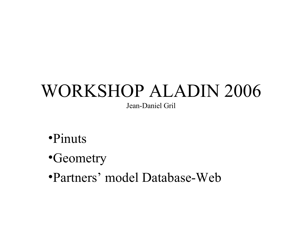# WORKSHOP ALADIN 2006

Jean-Daniel Gril

- •Pinuts
- •Geometry
- •Partners' model Database-Web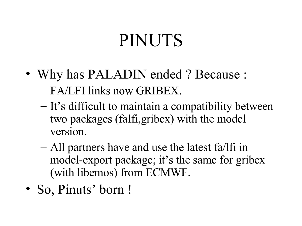#### PINUTS

- Why has PALADIN ended ? Because : – FA/LFI links now GRIBEX.
	- It's difficult to maintain a compatibility between two packages (falfi,gribex) with the model version.
	- All partners have and use the latest fa/lfi in model-export package; it's the same for gribex (with libemos) from ECMWF.
- So, Pinuts' born !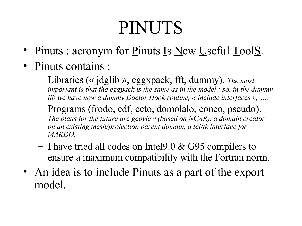## PINUTS

- Pinuts : acronym for Pinuts Is New Useful ToolS.
- Pinuts contains :
	- Libraries (« jdglib », eggxpack, fft, dummy). *The most important is that the eggpack is the same as in the model : so, in the dummy lib we have now a dummy Doctor Hook routine, « include interfaces », ….*
	- Programs (frodo, edf, ecto, domolalo, coneo, pseudo). *The plans for the future are geoview (based on NCAR), a domain creator on an existing mesh/projection parent domain, a tcl/tk interface for MAKDO.*
	- I have tried all codes on Intel9.0 & G95 compilers to ensure a maximum compatibility with the Fortran norm.
- An idea is to include Pinuts as a part of the export model.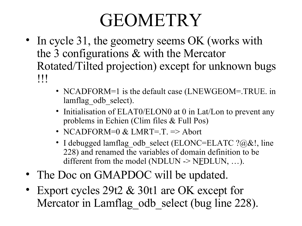### GEOMETRY

- In cycle 31, the geometry seems OK (works with the 3 configurations & with the Mercator Rotated/Tilted projection) except for unknown bugs !!!
	- NCADFORM=1 is the default case (LNEWGEOM=.TRUE. in lamflag odb select).
	- Initialisation of ELAT0/ELON0 at 0 in Lat/Lon to prevent any problems in Echien (Clim files & Full Pos)
	- NCADFORM=0 & LMRT=.T. => Abort
	- I debugged lamflag odb select (ELONC=ELATC ? $@&$ !, line 228) and renamed the variables of domain definition to be different from the model (NDLUN  $\rightarrow$  NEDLUN, ...).
- The Doc on GMAPDOC will be updated.
- Export cycles 29t2 & 30t1 are OK except for Mercator in Lamflag odb select (bug line 228).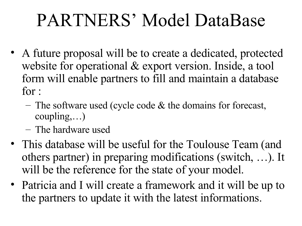### PARTNERS' Model DataBase

- A future proposal will be to create a dedicated, protected website for operational & export version. Inside, a tool form will enable partners to fill and maintain a database for :
	- The software used (cycle code  $&$  the domains for forecast, coupling,…)
	- The hardware used
- This database will be useful for the Toulouse Team (and others partner) in preparing modifications (switch, …). It will be the reference for the state of your model.
- Patricia and I will create a framework and it will be up to the partners to update it with the latest informations.